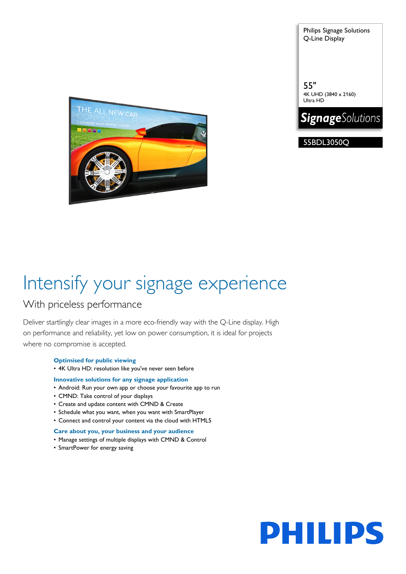Philips Signage Solutions Q-Line Display

THE ALL NEW CAR FП.

55BDL3050Q

4K UHD (3840 x 2160)

**SignageSolutions** 

55"

Ultra HD

# Intensify your signage experience

### With priceless performance

Deliver startlingly clear images in a more eco-friendly way with the Q-Line display. High on performance and reliability, yet low on power consumption, it is ideal for projects where no compromise is accepted.

### **Optimised for public viewing**

• 4K Ultra HD: resolution like you've never seen before

#### **Innovative solutions for any signage application**

- Android: Run your own app or choose your favourite app to run
- CMND: Take control of your displays
- Create and update content with CMND & Create
- Schedule what you want, when you want with SmartPlayer
- Connect and control your content via the cloud with HTML5

#### **Care about you, your business and your audience**

- Manage settings of multiple displays with CMND & Control
- SmartPower for energy saving

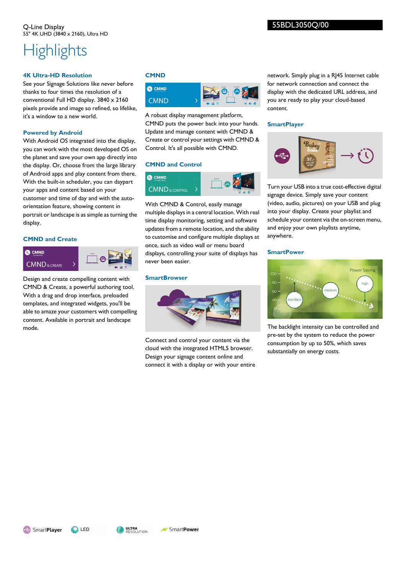## **Highlights**

#### **4K Ultra-HD Resolution**

See your Signage Solutions like never before thanks to four times the resolution of a conventional Full HD display. 3840 x 2160 pixels provide and image so refined, so lifelike, it's a window to a new world.

#### **Powered by Android**

With Android OS integrated into the display, you can work with the most developed OS on the planet and save your own app directly into the display. Or, choose from the large library of Android apps and play content from there. With the built-in scheduler, you can daypart your apps and content based on your customer and time of day and with the autoorientation feature, showing content in portrait or landscape is as simple as turning the display.

#### **CMND and Create**



Design and create compelling content with CMND & Create, a powerful authoring tool. With a drag and drop interface, preloaded templates, and integrated widgets, you'll be able to amaze your customers with compelling content. Available in portrait and landscape mode.

#### **CMND**



A robust display management platform, CMND puts the power back into your hands. Update and manage content with CMND & Create or control your settings with CMND & Control. It's all possible with CMND.

#### **CMND and Control**



With CMND & Control, easily manage multiple displays in a central location. With real time display monitoring, setting and software updates from a remote location, and the ability to customise and configure multiple displays at once, such as video wall or menu board displays, controlling your suite of displays has never been easier.

#### **SmartBrowser**



Connect and control your content via the cloud with the integrated HTML5 browser. Design your signage content online and connect it with a display or with your entire network. Simply plug in a RJ45 Internet cable for network connection and connect the display with the dedicated URL address, and you are ready to play your cloud-based content.

#### **SmartPlayer**



Turn your USB into a true cost-effective digital signage device. Simply save your content (video, audio, pictures) on your USB and plug into your display. Create your playlist and schedule your content via the on-screen menu, and enjoy your own playlists anytime, anywhere.

#### **SmartPower**



The backlight intensity can be controlled and pre-set by the system to reduce the power consumption by up to 50%, which saves substantially on energy costs.

SmartPlayer

SmartPower

ULTRA<br>Resolution